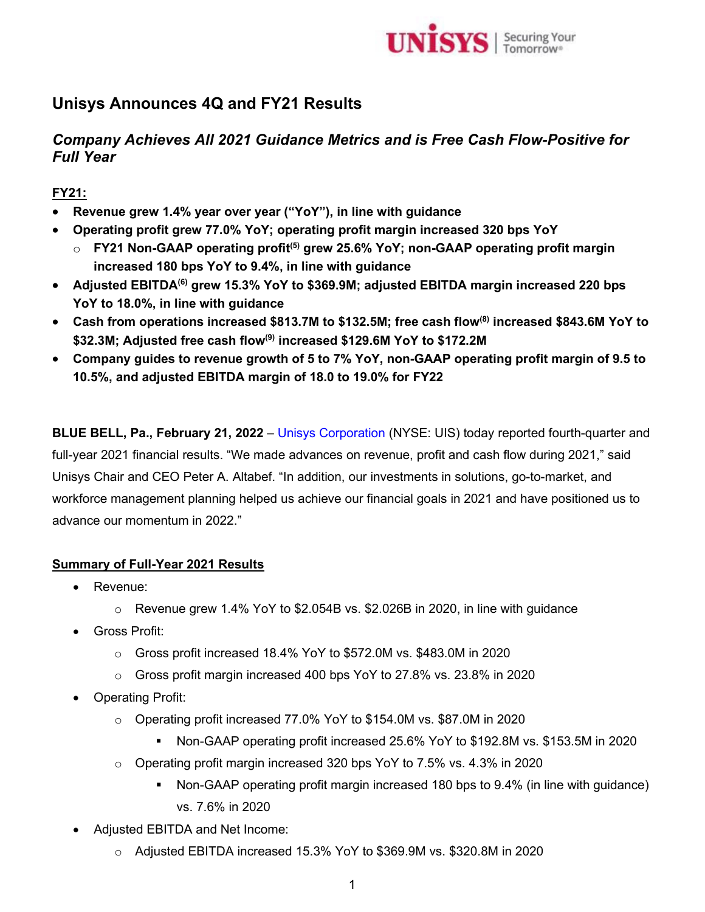

# **Unisys Announces 4Q and FY21 Results**

# *Company Achieves All 2021 Guidance Metrics and is Free Cash Flow-Positive for Full Year*

# **FY21:**

- **Revenue grew 1.4% year over year ("YoY"), in line with guidance**
- **Operating profit grew 77.0% YoY; operating profit margin increased 320 bps YoY**
	- o **FY21 Non-GAAP operating profit(5) grew 25.6% YoY; non-GAAP operating profit margin increased 180 bps YoY to 9.4%, in line with guidance**
- **Adjusted EBITDA(6) grew 15.3% YoY to \$369.9M; adjusted EBITDA margin increased 220 bps YoY to 18.0%, in line with guidance**
- **Cash from operations increased \$813.7M to \$132.5M; free cash flow(8) increased \$843.6M YoY to \$32.3M; Adjusted free cash flow(9) increased \$129.6M YoY to \$172.2M**
- **Company guides to revenue growth of 5 to 7% YoY, non-GAAP operating profit margin of 9.5 to 10.5%, and adjusted EBITDA margin of 18.0 to 19.0% for FY22**

**BLUE BELL, Pa., February 21, 2022** – [Unisys Corporation](http://www.unisys.com/) (NYSE: UIS) today reported fourth-quarter and full-year 2021 financial results. "We made advances on revenue, profit and cash flow during 2021," said Unisys Chair and CEO Peter A. Altabef. "In addition, our investments in solutions, go-to-market, and workforce management planning helped us achieve our financial goals in 2021 and have positioned us to advance our momentum in 2022."

## **Summary of Full-Year 2021 Results**

- Revenue:
	- $\circ$  Revenue grew 1.4% YoY to \$2.054B vs. \$2.026B in 2020, in line with guidance
- Gross Profit:
	- o Gross profit increased 18.4% YoY to \$572.0M vs. \$483.0M in 2020
	- $\circ$  Gross profit margin increased 400 bps YoY to 27.8% vs. 23.8% in 2020
- Operating Profit:
	- o Operating profit increased 77.0% YoY to \$154.0M vs. \$87.0M in 2020
		- Non-GAAP operating profit increased 25.6% YoY to \$192.8M vs. \$153.5M in 2020
	- $\circ$  Operating profit margin increased 320 bps YoY to 7.5% vs. 4.3% in 2020
		- Non-GAAP operating profit margin increased 180 bps to 9.4% (in line with guidance) vs. 7.6% in 2020
- Adjusted EBITDA and Net Income:
	- o Adjusted EBITDA increased 15.3% YoY to \$369.9M vs. \$320.8M in 2020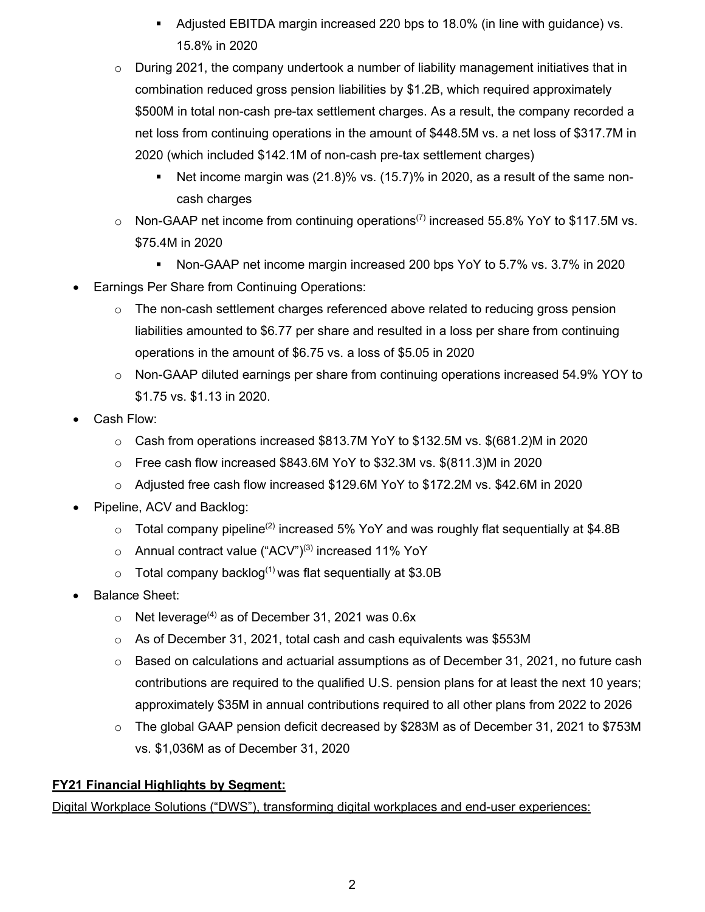- Adjusted EBITDA margin increased 220 bps to 18.0% (in line with guidance) vs. 15.8% in 2020
- $\circ$  During 2021, the company undertook a number of liability management initiatives that in combination reduced gross pension liabilities by \$1.2B, which required approximately \$500M in total non-cash pre-tax settlement charges. As a result, the company recorded a net loss from continuing operations in the amount of \$448.5M vs. a net loss of \$317.7M in 2020 (which included \$142.1M of non-cash pre-tax settlement charges)
	- Net income margin was  $(21.8)$ % vs.  $(15.7)$ % in 2020, as a result of the same noncash charges
- $\circ$  Non-GAAP net income from continuing operations<sup>(7)</sup> increased 55.8% YoY to \$117.5M vs. \$75.4M in 2020
	- Non-GAAP net income margin increased 200 bps YoY to 5.7% vs. 3.7% in 2020
- **Earnings Per Share from Continuing Operations:** 
	- $\circ$  The non-cash settlement charges referenced above related to reducing gross pension liabilities amounted to \$6.77 per share and resulted in a loss per share from continuing operations in the amount of \$6.75 vs. a loss of \$5.05 in 2020
	- o Non-GAAP diluted earnings per share from continuing operations increased 54.9% YOY to \$1.75 vs. \$1.13 in 2020.
- Cash Flow:
	- $\circ$  Cash from operations increased \$813.7M YoY to \$132.5M vs. \$(681.2)M in 2020
	- o Free cash flow increased \$843.6M YoY to \$32.3M vs. \$(811.3)M in 2020
	- o Adjusted free cash flow increased \$129.6M YoY to \$172.2M vs. \$42.6M in 2020
- Pipeline, ACV and Backlog:
	- $\circ$  Total company pipeline<sup>(2)</sup> increased 5% YoY and was roughly flat sequentially at \$4.8B
	- $\circ$  Annual contract value ("ACV")<sup>(3)</sup> increased 11% YoY
	- $\circ$  Total company backlog<sup>(1)</sup> was flat sequentially at \$3.0B
- Balance Sheet:
	- $\circ$  Net leverage<sup>(4)</sup> as of December 31, 2021 was 0.6x
	- o As of December 31, 2021, total cash and cash equivalents was \$553M
	- $\circ$  Based on calculations and actuarial assumptions as of December 31, 2021, no future cash contributions are required to the qualified U.S. pension plans for at least the next 10 years; approximately \$35M in annual contributions required to all other plans from 2022 to 2026
	- $\circ$  The global GAAP pension deficit decreased by \$283M as of December 31, 2021 to \$753M vs. \$1,036M as of December 31, 2020

## **FY21 Financial Highlights by Segment:**

Digital Workplace Solutions ("DWS"), transforming digital workplaces and end-user experiences: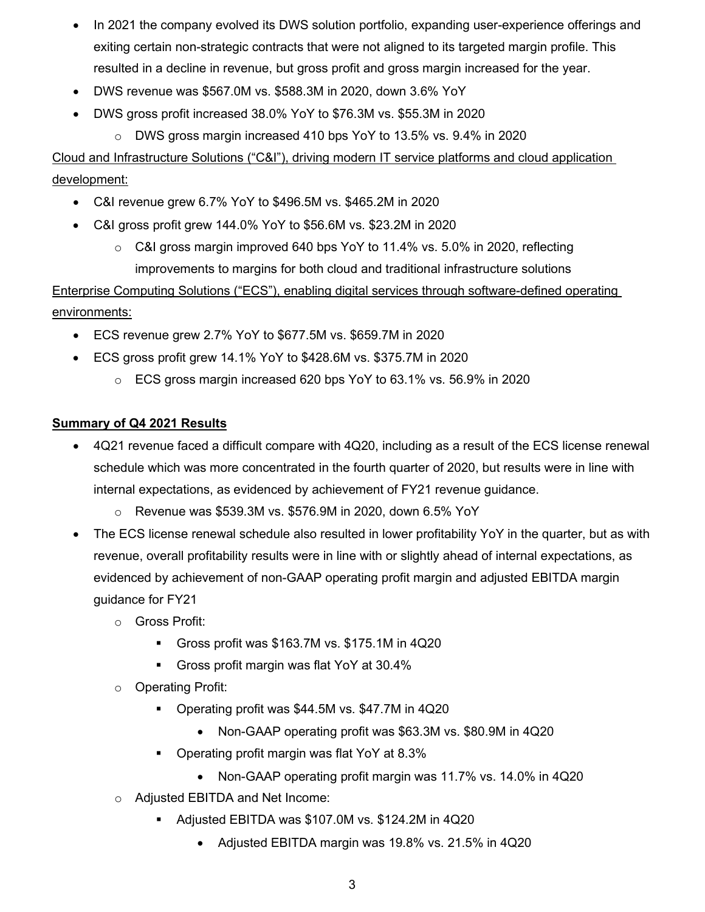- In 2021 the company evolved its DWS solution portfolio, expanding user-experience offerings and exiting certain non-strategic contracts that were not aligned to its targeted margin profile. This resulted in a decline in revenue, but gross profit and gross margin increased for the year.
- DWS revenue was \$567.0M vs. \$588.3M in 2020, down 3.6% YoY
- DWS gross profit increased 38.0% YoY to \$76.3M vs. \$55.3M in 2020
	- $\circ$  DWS gross margin increased 410 bps YoY to 13.5% vs. 9.4% in 2020

Cloud and Infrastructure Solutions ("C&I"), driving modern IT service platforms and cloud application development:

- C&I revenue grew 6.7% YoY to \$496.5M vs. \$465.2M in 2020
- C&I gross profit grew 144.0% YoY to \$56.6M vs. \$23.2M in 2020
	- $\circ$  C&I gross margin improved 640 bps YoY to 11.4% vs. 5.0% in 2020, reflecting improvements to margins for both cloud and traditional infrastructure solutions

Enterprise Computing Solutions ("ECS"), enabling digital services through software-defined operating environments:

- ECS revenue grew 2.7% YoY to \$677.5M vs. \$659.7M in 2020
- ECS gross profit grew 14.1% YoY to \$428.6M vs. \$375.7M in 2020
	- $\circ$  ECS gross margin increased 620 bps YoY to 63.1% vs. 56.9% in 2020

## **Summary of Q4 2021 Results**

- 4Q21 revenue faced a difficult compare with 4Q20, including as a result of the ECS license renewal schedule which was more concentrated in the fourth quarter of 2020, but results were in line with internal expectations, as evidenced by achievement of FY21 revenue guidance.
	- o Revenue was \$539.3M vs. \$576.9M in 2020, down 6.5% YoY
- The ECS license renewal schedule also resulted in lower profitability YoY in the quarter, but as with revenue, overall profitability results were in line with or slightly ahead of internal expectations, as evidenced by achievement of non-GAAP operating profit margin and adjusted EBITDA margin guidance for FY21
	- o Gross Profit:
		- Gross profit was \$163.7M vs. \$175.1M in 4Q20
		- Gross profit margin was flat YoY at 30.4%
	- o Operating Profit:
		- Operating profit was \$44.5M vs. \$47.7M in 4Q20
			- Non-GAAP operating profit was \$63.3M vs. \$80.9M in 4Q20
		- Operating profit margin was flat YoY at 8.3%
			- Non-GAAP operating profit margin was 11.7% vs. 14.0% in 4Q20
	- o Adjusted EBITDA and Net Income:
		- Adjusted EBITDA was \$107.0M vs. \$124.2M in 4Q20
			- Adjusted EBITDA margin was 19.8% vs. 21.5% in 4Q20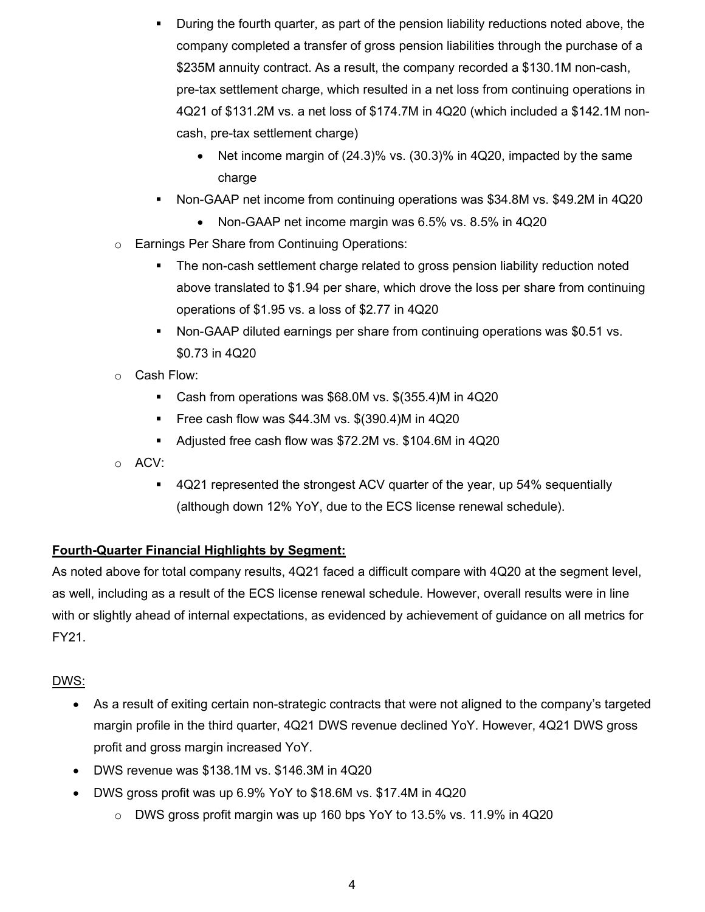- During the fourth quarter, as part of the pension liability reductions noted above, the company completed a transfer of gross pension liabilities through the purchase of a \$235M annuity contract. As a result, the company recorded a \$130.1M non-cash, pre-tax settlement charge, which resulted in a net loss from continuing operations in 4Q21 of \$131.2M vs. a net loss of \$174.7M in 4Q20 (which included a \$142.1M noncash, pre-tax settlement charge)
	- Net income margin of (24.3)% vs. (30.3)% in 4Q20, impacted by the same charge
- Non-GAAP net income from continuing operations was \$34.8M vs. \$49.2M in 4Q20
	- Non-GAAP net income margin was 6.5% vs. 8.5% in 4Q20
- o Earnings Per Share from Continuing Operations:
	- The non-cash settlement charge related to gross pension liability reduction noted above translated to \$1.94 per share, which drove the loss per share from continuing operations of \$1.95 vs. a loss of \$2.77 in 4Q20
	- Non-GAAP diluted earnings per share from continuing operations was \$0.51 vs. \$0.73 in 4Q20
- o Cash Flow:
	- Cash from operations was \$68.0M vs. \$(355.4)M in 4Q20
	- Free cash flow was  $$44.3M$  vs.  $$(390.4)M$  in  $4Q20$
	- Adjusted free cash flow was \$72.2M vs. \$104.6M in 4Q20
- o ACV:
	- 4Q21 represented the strongest ACV quarter of the year, up 54% sequentially (although down 12% YoY, due to the ECS license renewal schedule).

## **Fourth-Quarter Financial Highlights by Segment:**

As noted above for total company results, 4Q21 faced a difficult compare with 4Q20 at the segment level, as well, including as a result of the ECS license renewal schedule. However, overall results were in line with or slightly ahead of internal expectations, as evidenced by achievement of guidance on all metrics for FY21.

## DWS:

- As a result of exiting certain non-strategic contracts that were not aligned to the company's targeted margin profile in the third quarter, 4Q21 DWS revenue declined YoY. However, 4Q21 DWS gross profit and gross margin increased YoY.
- DWS revenue was \$138.1M vs. \$146.3M in 4Q20
- DWS gross profit was up 6.9% YoY to \$18.6M vs. \$17.4M in 4Q20
	- $\circ$  DWS gross profit margin was up 160 bps YoY to 13.5% vs. 11.9% in 4Q20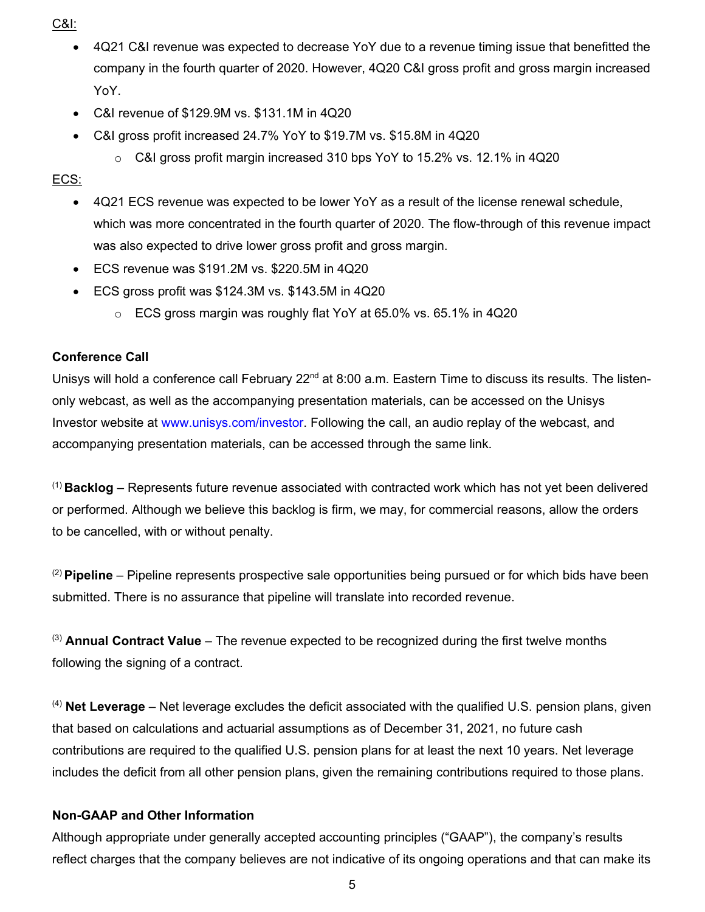C&I:

- 4Q21 C&I revenue was expected to decrease YoY due to a revenue timing issue that benefitted the company in the fourth quarter of 2020. However, 4Q20 C&I gross profit and gross margin increased YoY.
- C&I revenue of \$129.9M vs. \$131.1M in 4Q20
- C&I gross profit increased 24.7% YoY to \$19.7M vs. \$15.8M in 4Q20
	- o C&I gross profit margin increased 310 bps YoY to 15.2% vs. 12.1% in 4Q20

## ECS:

- 4Q21 ECS revenue was expected to be lower YoY as a result of the license renewal schedule, which was more concentrated in the fourth quarter of 2020. The flow-through of this revenue impact was also expected to drive lower gross profit and gross margin.
- ECS revenue was \$191.2M vs. \$220.5M in 4Q20
- ECS gross profit was \$124.3M vs. \$143.5M in 4Q20
	- $\circ$  ECS gross margin was roughly flat YoY at 65.0% vs. 65.1% in 4Q20

## **Conference Call**

Unisys will hold a conference call February 22<sup>nd</sup> at 8:00 a.m. Eastern Time to discuss its results. The listenonly webcast, as well as the accompanying presentation materials, can be accessed on the Unisys Investor website at [www.unisys.com/investor.](http://www.unisys.com/investor) Following the call, an audio replay of the webcast, and accompanying presentation materials, can be accessed through the same link.

(1) **Backlog** – Represents future revenue associated with contracted work which has not yet been delivered or performed. Although we believe this backlog is firm, we may, for commercial reasons, allow the orders to be cancelled, with or without penalty.

(2) **Pipeline** – Pipeline represents prospective sale opportunities being pursued or for which bids have been submitted. There is no assurance that pipeline will translate into recorded revenue.

(3) **Annual Contract Value** – The revenue expected to be recognized during the first twelve months following the signing of a contract.

(4) **Net Leverage** – Net leverage excludes the deficit associated with the qualified U.S. pension plans, given that based on calculations and actuarial assumptions as of December 31, 2021, no future cash contributions are required to the qualified U.S. pension plans for at least the next 10 years. Net leverage includes the deficit from all other pension plans, given the remaining contributions required to those plans.

## **Non-GAAP and Other Information**

Although appropriate under generally accepted accounting principles ("GAAP"), the company's results reflect charges that the company believes are not indicative of its ongoing operations and that can make its

5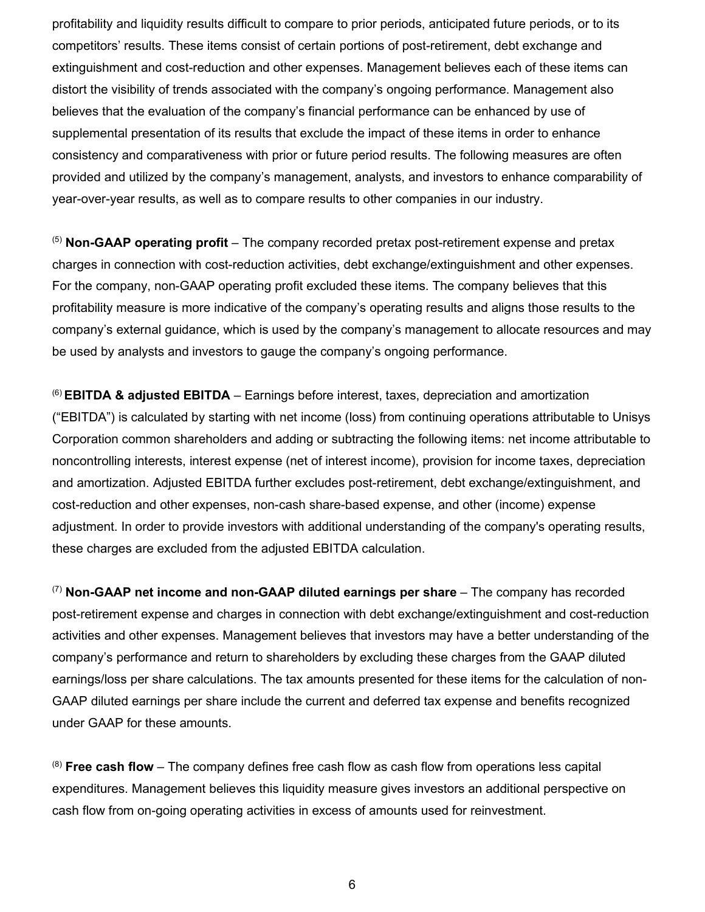profitability and liquidity results difficult to compare to prior periods, anticipated future periods, or to its competitors' results. These items consist of certain portions of post-retirement, debt exchange and extinguishment and cost-reduction and other expenses. Management believes each of these items can distort the visibility of trends associated with the company's ongoing performance. Management also believes that the evaluation of the company's financial performance can be enhanced by use of supplemental presentation of its results that exclude the impact of these items in order to enhance consistency and comparativeness with prior or future period results. The following measures are often provided and utilized by the company's management, analysts, and investors to enhance comparability of year-over-year results, as well as to compare results to other companies in our industry.

(5) **Non-GAAP operating profit** – The company recorded pretax post-retirement expense and pretax charges in connection with cost-reduction activities, debt exchange/extinguishment and other expenses. For the company, non-GAAP operating profit excluded these items. The company believes that this profitability measure is more indicative of the company's operating results and aligns those results to the company's external guidance, which is used by the company's management to allocate resources and may be used by analysts and investors to gauge the company's ongoing performance.

(6) **EBITDA & adjusted EBITDA** – Earnings before interest, taxes, depreciation and amortization ("EBITDA") is calculated by starting with net income (loss) from continuing operations attributable to Unisys Corporation common shareholders and adding or subtracting the following items: net income attributable to noncontrolling interests, interest expense (net of interest income), provision for income taxes, depreciation and amortization. Adjusted EBITDA further excludes post-retirement, debt exchange/extinguishment, and cost-reduction and other expenses, non-cash share-based expense, and other (income) expense adjustment. In order to provide investors with additional understanding of the company's operating results, these charges are excluded from the adjusted EBITDA calculation.

(7) **Non-GAAP net income and non-GAAP diluted earnings per share** – The company has recorded post-retirement expense and charges in connection with debt exchange/extinguishment and cost-reduction activities and other expenses. Management believes that investors may have a better understanding of the company's performance and return to shareholders by excluding these charges from the GAAP diluted earnings/loss per share calculations. The tax amounts presented for these items for the calculation of non-GAAP diluted earnings per share include the current and deferred tax expense and benefits recognized under GAAP for these amounts.

(8) **Free cash flow** – The company defines free cash flow as cash flow from operations less capital expenditures. Management believes this liquidity measure gives investors an additional perspective on cash flow from on-going operating activities in excess of amounts used for reinvestment.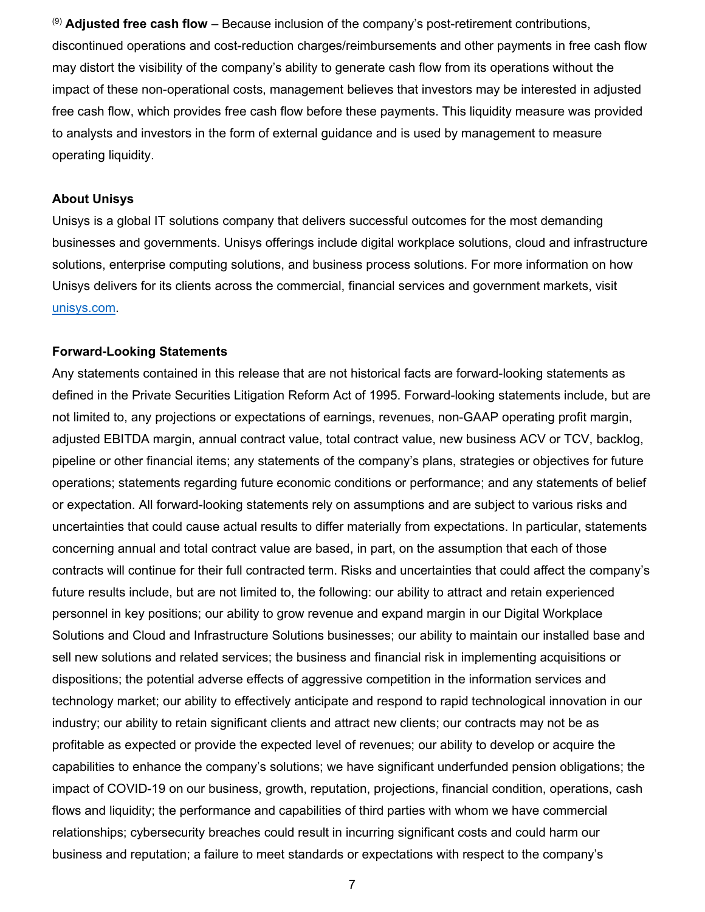(9) **Adjusted free cash flow** – Because inclusion of the company's post-retirement contributions, discontinued operations and cost-reduction charges/reimbursements and other payments in free cash flow may distort the visibility of the company's ability to generate cash flow from its operations without the impact of these non-operational costs, management believes that investors may be interested in adjusted free cash flow, which provides free cash flow before these payments. This liquidity measure was provided to analysts and investors in the form of external guidance and is used by management to measure operating liquidity.

### **About Unisys**

Unisys is a global IT solutions company that delivers successful outcomes for the most demanding businesses and governments. Unisys offerings include digital workplace solutions, cloud and infrastructure solutions, enterprise computing solutions, and business process solutions. For more information on how Unisys delivers for its clients across the commercial, financial services and government markets, visit [unisys.com.](http://unisys.com/)

### **Forward-Looking Statements**

Any statements contained in this release that are not historical facts are forward-looking statements as defined in the Private Securities Litigation Reform Act of 1995. Forward-looking statements include, but are not limited to, any projections or expectations of earnings, revenues, non-GAAP operating profit margin, adjusted EBITDA margin, annual contract value, total contract value, new business ACV or TCV, backlog, pipeline or other financial items; any statements of the company's plans, strategies or objectives for future operations; statements regarding future economic conditions or performance; and any statements of belief or expectation. All forward-looking statements rely on assumptions and are subject to various risks and uncertainties that could cause actual results to differ materially from expectations. In particular, statements concerning annual and total contract value are based, in part, on the assumption that each of those contracts will continue for their full contracted term. Risks and uncertainties that could affect the company's future results include, but are not limited to, the following: our ability to attract and retain experienced personnel in key positions; our ability to grow revenue and expand margin in our Digital Workplace Solutions and Cloud and Infrastructure Solutions businesses; our ability to maintain our installed base and sell new solutions and related services; the business and financial risk in implementing acquisitions or dispositions; the potential adverse effects of aggressive competition in the information services and technology market; our ability to effectively anticipate and respond to rapid technological innovation in our industry; our ability to retain significant clients and attract new clients; our contracts may not be as profitable as expected or provide the expected level of revenues; our ability to develop or acquire the capabilities to enhance the company's solutions; we have significant underfunded pension obligations; the impact of COVID-19 on our business, growth, reputation, projections, financial condition, operations, cash flows and liquidity; the performance and capabilities of third parties with whom we have commercial relationships; cybersecurity breaches could result in incurring significant costs and could harm our business and reputation; a failure to meet standards or expectations with respect to the company's

7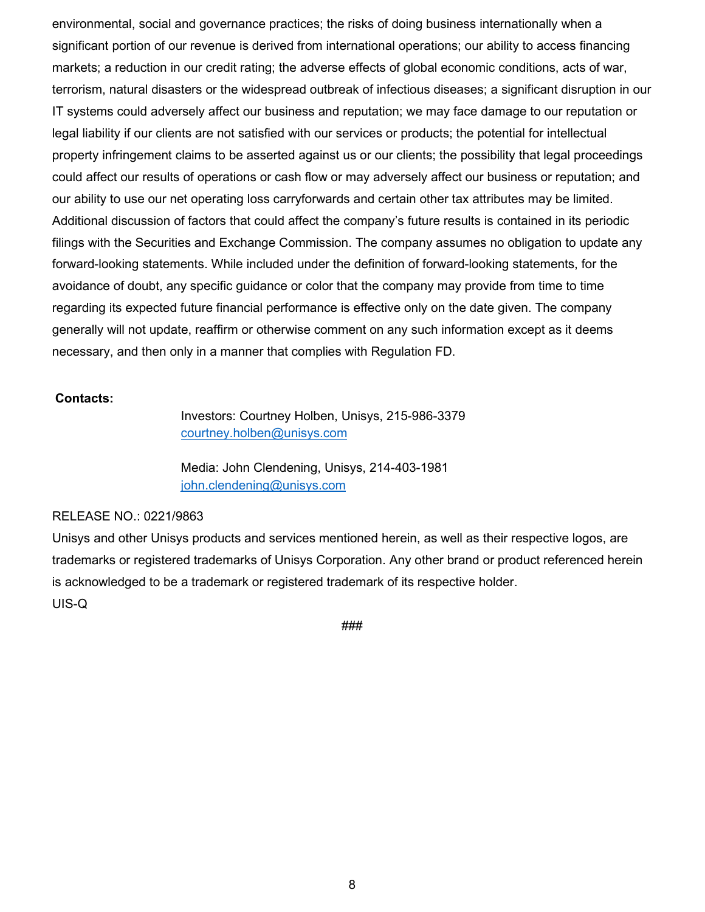environmental, social and governance practices; the risks of doing business internationally when a significant portion of our revenue is derived from international operations; our ability to access financing markets; a reduction in our credit rating; the adverse effects of global economic conditions, acts of war, terrorism, natural disasters or the widespread outbreak of infectious diseases; a significant disruption in our IT systems could adversely affect our business and reputation; we may face damage to our reputation or legal liability if our clients are not satisfied with our services or products; the potential for intellectual property infringement claims to be asserted against us or our clients; the possibility that legal proceedings could affect our results of operations or cash flow or may adversely affect our business or reputation; and our ability to use our net operating loss carryforwards and certain other tax attributes may be limited. Additional discussion of factors that could affect the company's future results is contained in its periodic filings with the Securities and Exchange Commission. The company assumes no obligation to update any forward-looking statements. While included under the definition of forward-looking statements, for the avoidance of doubt, any specific guidance or color that the company may provide from time to time regarding its expected future financial performance is effective only on the date given. The company generally will not update, reaffirm or otherwise comment on any such information except as it deems necessary, and then only in a manner that complies with Regulation FD.

### **Contacts:**

Investors: Courtney Holben, Unisys, 215-986-3379 [courtney.holben@unisys.com](mailto:courtney.holben@unisys.com)

Media: John Clendening, Unisys, 214-403-1981 [john.clendening@unisys.com](mailto:john.clendening@unisys.com)

#### RELEASE NO.: 0221/9863

Unisys and other Unisys products and services mentioned herein, as well as their respective logos, are trademarks or registered trademarks of Unisys Corporation. Any other brand or product referenced herein is acknowledged to be a trademark or registered trademark of its respective holder. UIS-Q

###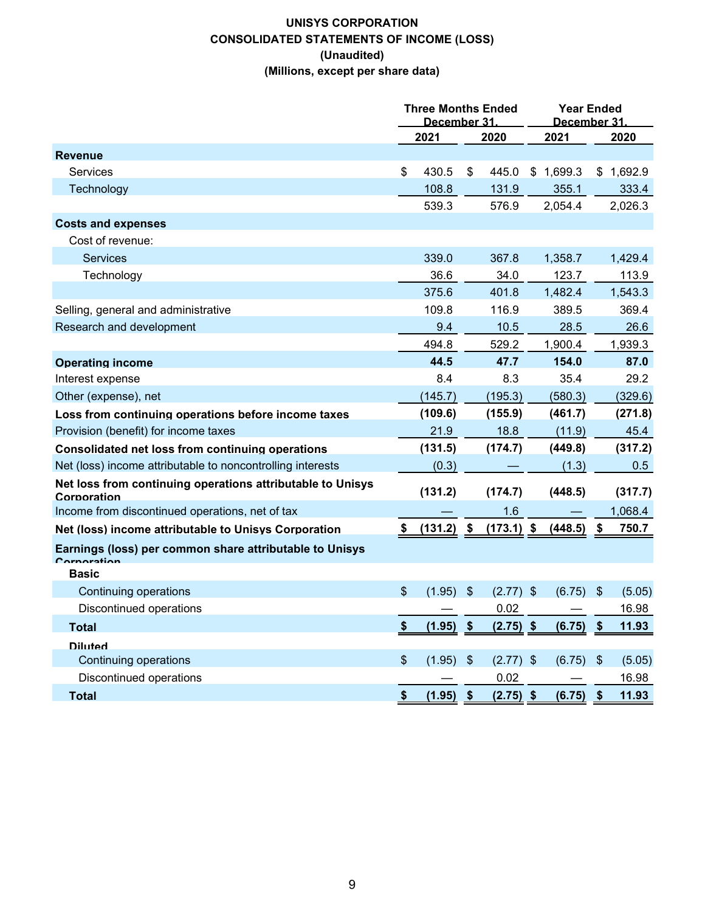### **UNISYS CORPORATION CONSOLIDATED STATEMENTS OF INCOME (LOSS) (Unaudited) (Millions, except per share data)**

|                                                                           | <b>Three Months Ended</b><br>December 31. |             |      | <b>Year Ended</b><br>December 31 |      |             |               |           |  |
|---------------------------------------------------------------------------|-------------------------------------------|-------------|------|----------------------------------|------|-------------|---------------|-----------|--|
|                                                                           | 2021                                      |             | 2020 |                                  | 2021 |             |               | 2020      |  |
| <b>Revenue</b>                                                            |                                           |             |      |                                  |      |             |               |           |  |
| <b>Services</b>                                                           | \$                                        | 430.5       | \$   | 445.0                            | \$   | 1,699.3     |               | \$1,692.9 |  |
| Technology                                                                |                                           | 108.8       |      | 131.9                            |      | 355.1       |               | 333.4     |  |
|                                                                           |                                           | 539.3       |      | 576.9                            |      | 2,054.4     |               | 2,026.3   |  |
| <b>Costs and expenses</b>                                                 |                                           |             |      |                                  |      |             |               |           |  |
| Cost of revenue:                                                          |                                           |             |      |                                  |      |             |               |           |  |
| <b>Services</b>                                                           |                                           | 339.0       |      | 367.8                            |      | 1,358.7     |               | 1,429.4   |  |
| Technology                                                                |                                           | 36.6        |      | 34.0                             |      | 123.7       |               | 113.9     |  |
|                                                                           |                                           | 375.6       |      | 401.8                            |      | 1,482.4     |               | 1,543.3   |  |
| Selling, general and administrative                                       |                                           | 109.8       |      | 116.9                            |      | 389.5       |               | 369.4     |  |
| Research and development                                                  |                                           | 9.4         |      | 10.5                             |      | 28.5        |               | 26.6      |  |
|                                                                           |                                           | 494.8       |      | 529.2                            |      | 1,900.4     |               | 1,939.3   |  |
| <b>Operating income</b>                                                   |                                           | 44.5        |      | 47.7                             |      | 154.0       |               | 87.0      |  |
| Interest expense                                                          |                                           | 8.4         |      | 8.3                              |      | 35.4        |               | 29.2      |  |
| Other (expense), net                                                      |                                           | (145.7)     |      | (195.3)                          |      | (580.3)     |               | (329.6)   |  |
| Loss from continuing operations before income taxes                       |                                           | (109.6)     |      | (155.9)                          |      | (461.7)     |               | (271.8)   |  |
| Provision (benefit) for income taxes                                      |                                           | 21.9        |      | 18.8                             |      | (11.9)      |               | 45.4      |  |
| Consolidated net loss from continuing operations                          |                                           | (131.5)     |      | (174.7)                          |      | (449.8)     |               | (317.2)   |  |
| Net (loss) income attributable to noncontrolling interests                |                                           | (0.3)       |      |                                  |      | (1.3)       |               | 0.5       |  |
| Net loss from continuing operations attributable to Unisys<br>Corporation |                                           | (131.2)     |      | (174.7)                          |      | (448.5)     |               | (317.7)   |  |
| Income from discontinued operations, net of tax                           |                                           |             |      | 1.6                              |      |             |               | 1,068.4   |  |
| Net (loss) income attributable to Unisys Corporation                      | \$                                        | (131.2)     | -\$  | $(173.1)$ \$                     |      | (448.5)     |               | 750.7     |  |
| Earnings (loss) per common share attributable to Unisys<br>rnaratian      |                                           |             |      |                                  |      |             |               |           |  |
| <b>Basic</b>                                                              |                                           |             |      |                                  |      |             |               |           |  |
| Continuing operations                                                     | \$                                        | (1.95)      | \$   | $(2.77)$ \$                      |      | (6.75)      | $\frac{1}{2}$ | (5.05)    |  |
| <b>Discontinued operations</b>                                            |                                           |             |      | 0.02                             |      |             |               | 16.98     |  |
| <b>Total</b>                                                              | $\frac{\$}{}$                             | $(1.95)$ \$ |      | $(2.75)$ \$                      |      | (6.75)      | $\sqrt[6]{3}$ | 11.93     |  |
| <b>Diluted</b>                                                            |                                           |             |      |                                  |      |             |               |           |  |
| <b>Continuing operations</b>                                              | $\sqrt[6]{\frac{1}{2}}$                   | $(1.95)$ \$ |      | $(2.77)$ \$                      |      | $(6.75)$ \$ |               | (5.05)    |  |
| Discontinued operations                                                   |                                           |             |      | 0.02                             |      |             |               | 16.98     |  |
| <b>Total</b>                                                              | $\frac{\$}{}$                             | $(1.95)$ \$ |      | $(2.75)$ \$                      |      | $(6.75)$ \$ |               | 11.93     |  |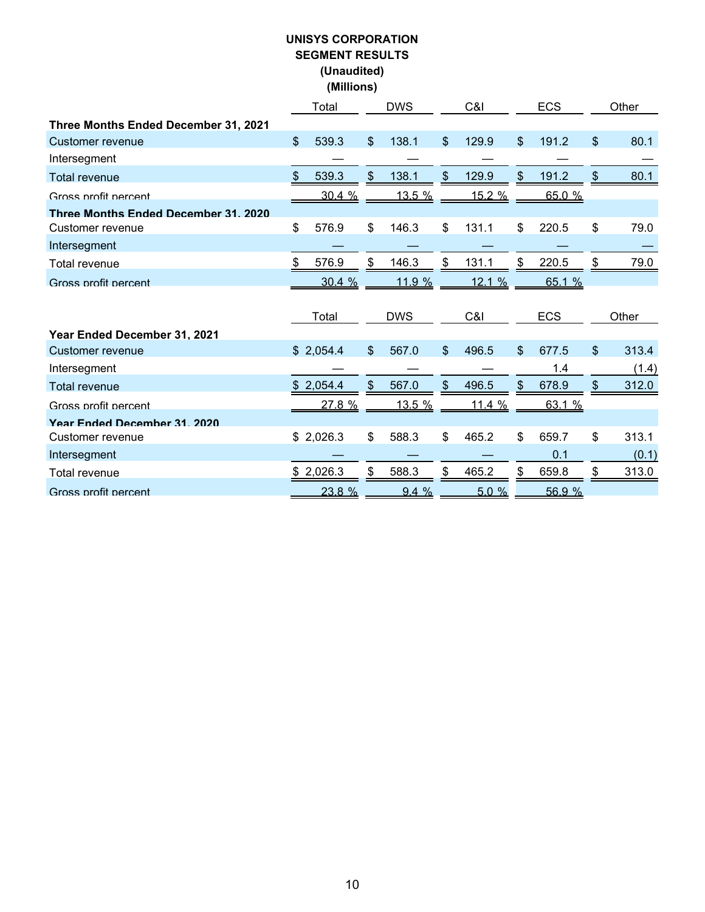## **UNISYS CORPORATION SEGMENT RESULTS (Unaudited) (Millions)**

|                                      |               | Total     |                | <b>DWS</b>    | C&I            |               |                | <b>ECS</b> | Other       |
|--------------------------------------|---------------|-----------|----------------|---------------|----------------|---------------|----------------|------------|-------------|
| Three Months Ended December 31, 2021 |               |           |                |               |                |               |                |            |             |
| Customer revenue                     | $\mathcal{S}$ | 539.3     | $\mathfrak{L}$ | 138.1         | $\mathfrak{L}$ | 129.9         | $\mathfrak{S}$ | 191.2      | \$<br>80.1  |
| Intersegment                         |               |           |                |               |                |               |                |            |             |
| <b>Total revenue</b>                 | \$            | 539.3     | S              | 138.1         | \$             | 129.9         | \$             | 191.2      | \$<br>80.1  |
| Gross profit percent                 |               | 30.4%     |                | <u>13.5 %</u> |                | <u>15.2 %</u> |                | 65.0 %     |             |
| Three Months Ended December 31, 2020 |               |           |                |               |                |               |                |            |             |
| Customer revenue                     | \$            | 576.9     | \$             | 146.3         | $\mathfrak{S}$ | 131.1         | \$             | 220.5      | \$<br>79.0  |
| Intersegment                         |               |           |                |               |                |               |                |            |             |
| Total revenue                        | \$            | 576.9     | \$             | 146.3         | \$             | 131.1         | \$             | 220.5      | \$<br>79.0  |
| Gross profit percent                 |               | 30.4%     |                | 11.9 %        |                | 12.1%         |                | 65.1 %     |             |
|                                      |               |           |                |               |                |               |                |            |             |
|                                      |               |           |                |               |                |               |                |            |             |
|                                      |               | Total     |                | <b>DWS</b>    |                | C&I           |                | <b>ECS</b> | Other       |
| Year Ended December 31, 2021         |               |           |                |               |                |               |                |            |             |
| Customer revenue                     |               | \$2,054.4 | \$             | 567.0         | $\mathfrak{L}$ | 496.5         | \$             | 677.5      | \$<br>313.4 |
| Intersegment                         |               |           |                |               |                |               |                | 1.4        | (1.4)       |
| <b>Total revenue</b>                 |               | \$2,054.4 | \$             | 567.0         | \$             | 496.5         | \$             | 678.9      | 312.0       |
| Gross profit percent                 |               | 27.8 %    |                | 13.5 %        |                | 11.4%         |                | 63.1 %     |             |
| Year Ended December 31 2020          |               |           |                |               |                |               |                |            |             |
| Customer revenue                     |               | \$2,026.3 | \$             | 588.3         | \$             | 465.2         | \$             | 659.7      | \$<br>313.1 |
| Intersegment                         |               |           |                |               |                |               |                | 0.1        | (0.1)       |
| Total revenue                        |               | \$2,026.3 | \$             | 588.3         | \$             | 465.2         | \$             | 659.8      | \$<br>313.0 |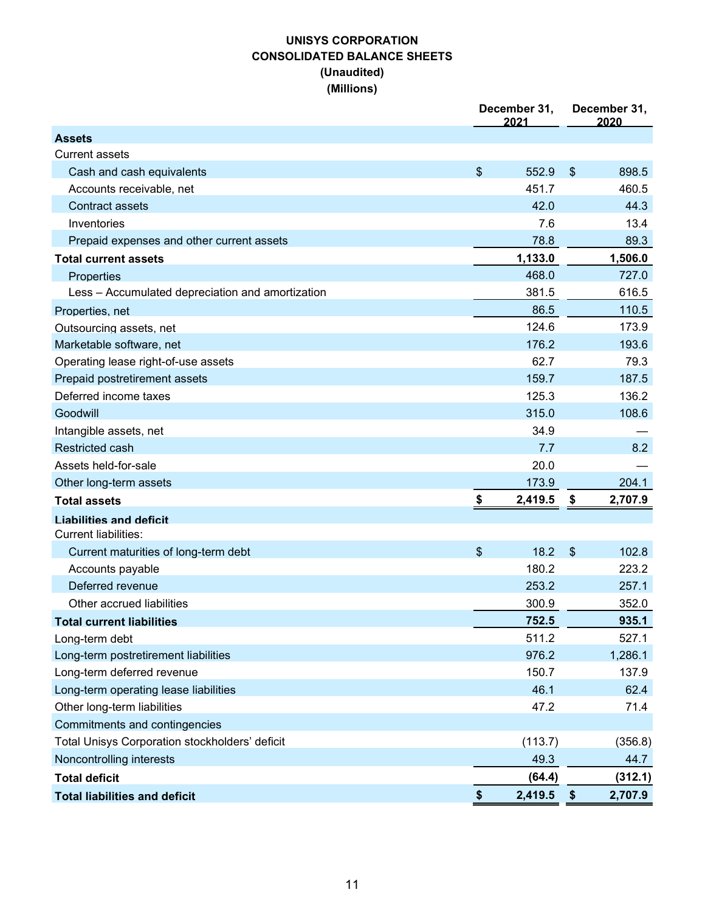### **UNISYS CORPORATION CONSOLIDATED BALANCE SHEETS (Unaudited) (Millions)**

|                                                  | December 31,<br>2021 | December 31,<br>2020      |         |  |  |
|--------------------------------------------------|----------------------|---------------------------|---------|--|--|
| <b>Assets</b>                                    |                      |                           |         |  |  |
| <b>Current assets</b>                            |                      |                           |         |  |  |
| Cash and cash equivalents                        | \$<br>552.9          | \$                        | 898.5   |  |  |
| Accounts receivable, net                         | 451.7                |                           | 460.5   |  |  |
| <b>Contract assets</b>                           | 42.0                 |                           | 44.3    |  |  |
| Inventories                                      | 7.6                  |                           | 13.4    |  |  |
| Prepaid expenses and other current assets        | 78.8                 |                           | 89.3    |  |  |
| <b>Total current assets</b>                      | 1,133.0              |                           | 1,506.0 |  |  |
| Properties                                       | 468.0                |                           | 727.0   |  |  |
| Less - Accumulated depreciation and amortization | 381.5                |                           | 616.5   |  |  |
| Properties, net                                  | 86.5                 |                           | 110.5   |  |  |
| Outsourcing assets, net                          | 124.6                |                           | 173.9   |  |  |
| Marketable software, net                         | 176.2                |                           | 193.6   |  |  |
| Operating lease right-of-use assets              | 62.7                 |                           | 79.3    |  |  |
| Prepaid postretirement assets                    | 159.7                |                           | 187.5   |  |  |
| Deferred income taxes                            | 125.3                |                           | 136.2   |  |  |
| Goodwill                                         | 315.0                |                           | 108.6   |  |  |
| Intangible assets, net                           | 34.9                 |                           |         |  |  |
| Restricted cash                                  | 7.7                  |                           | 8.2     |  |  |
| Assets held-for-sale                             | 20.0                 |                           |         |  |  |
| Other long-term assets                           | 173.9                |                           | 204.1   |  |  |
| <b>Total assets</b>                              | \$<br>2,419.5        | \$                        | 2,707.9 |  |  |
| <b>Liabilities and deficit</b>                   |                      |                           |         |  |  |
| <b>Current liabilities:</b>                      |                      |                           |         |  |  |
| Current maturities of long-term debt             | \$<br>18.2           | $\$\$                     | 102.8   |  |  |
| Accounts payable                                 | 180.2                |                           | 223.2   |  |  |
| Deferred revenue                                 | 253.2                |                           | 257.1   |  |  |
| Other accrued liabilities                        | 300.9                |                           | 352.0   |  |  |
| <b>Total current liabilities</b>                 | 752.5                |                           | 935.1   |  |  |
| Long-term debt                                   | 511.2                |                           | 527.1   |  |  |
| Long-term postretirement liabilities             | 976.2                |                           | 1,286.1 |  |  |
| Long-term deferred revenue                       | 150.7                |                           | 137.9   |  |  |
| Long-term operating lease liabilities            | 46.1                 |                           | 62.4    |  |  |
| Other long-term liabilities                      | 47.2                 |                           | 71.4    |  |  |
| Commitments and contingencies                    |                      |                           |         |  |  |
| Total Unisys Corporation stockholders' deficit   | (113.7)              |                           | (356.8) |  |  |
| Noncontrolling interests                         | 49.3                 |                           | 44.7    |  |  |
| <b>Total deficit</b>                             | (64.4)               |                           | (312.1) |  |  |
| <b>Total liabilities and deficit</b>             | \$<br>2,419.5        | $\boldsymbol{\mathsf{s}}$ | 2,707.9 |  |  |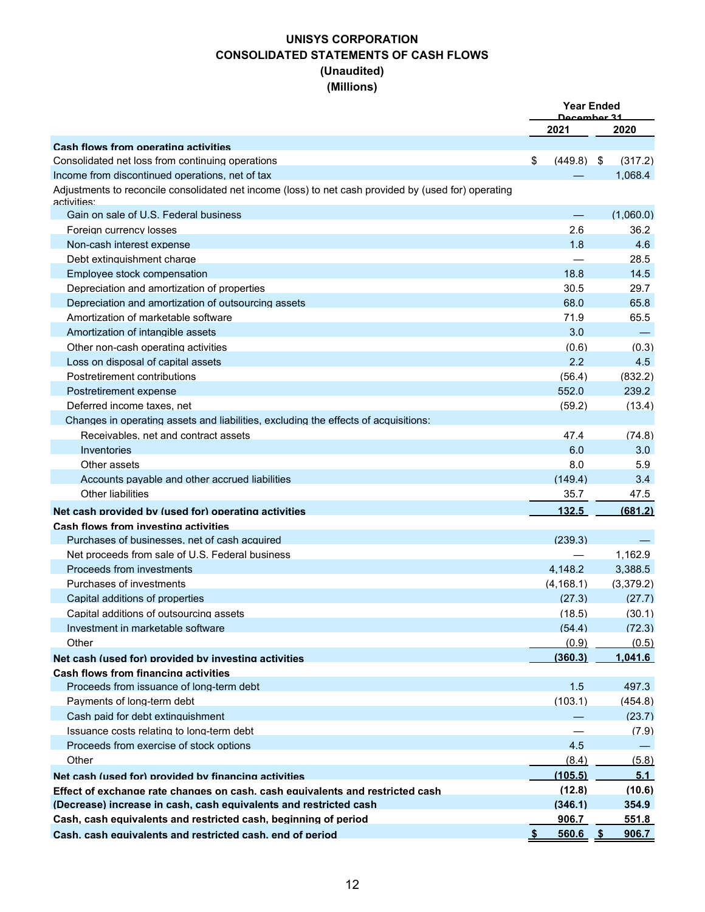## **UNISYS CORPORATION CONSOLIDATED STATEMENTS OF CASH FLOWS (Unaudited) (Millions)**

|                                                                                                                     | <b>Year Ended</b><br><u> Dacambar 31</u> |                          |  |              |  |  |
|---------------------------------------------------------------------------------------------------------------------|------------------------------------------|--------------------------|--|--------------|--|--|
|                                                                                                                     |                                          | 2021                     |  | 2020         |  |  |
| Cash flows from operating activities                                                                                |                                          |                          |  |              |  |  |
| Consolidated net loss from continuing operations                                                                    | \$                                       | $(449.8)$ \$             |  | (317.2)      |  |  |
| Income from discontinued operations, net of tax                                                                     |                                          |                          |  | 1.068.4      |  |  |
| Adjustments to reconcile consolidated net income (loss) to net cash provided by (used for) operating<br>activities: |                                          |                          |  |              |  |  |
| Gain on sale of U.S. Federal business                                                                               |                                          |                          |  | (1.060.0)    |  |  |
| Foreign currency losses                                                                                             |                                          | 2.6                      |  | 36.2         |  |  |
| Non-cash interest expense                                                                                           |                                          | 1.8                      |  | 4.6          |  |  |
| Debt extinguishment charge                                                                                          |                                          | $\overline{\phantom{0}}$ |  | 28.5         |  |  |
| Employee stock compensation                                                                                         |                                          | 18.8                     |  | 14.5         |  |  |
| Depreciation and amortization of properties                                                                         |                                          | 30.5                     |  | 29.7         |  |  |
| Depreciation and amortization of outsourcing assets                                                                 |                                          | 68.0                     |  | 65.8         |  |  |
| Amortization of marketable software                                                                                 |                                          | 71.9                     |  | 65.5         |  |  |
| Amortization of intangible assets                                                                                   |                                          | 3.0                      |  |              |  |  |
| Other non-cash operating activities                                                                                 |                                          | (0.6)                    |  | (0.3)        |  |  |
| Loss on disposal of capital assets                                                                                  |                                          | 2.2                      |  | 4.5          |  |  |
| Postretirement contributions                                                                                        |                                          | (56.4)                   |  | (832.2)      |  |  |
| Postretirement expense                                                                                              |                                          | 552.0                    |  | 239.2        |  |  |
| Deferred income taxes, net                                                                                          |                                          | (59.2)                   |  | (13.4)       |  |  |
| Changes in operating assets and liabilities, excluding the effects of acquisitions:                                 |                                          |                          |  |              |  |  |
| Receivables, net and contract assets                                                                                |                                          | 47.4                     |  | (74.8)       |  |  |
| Inventories                                                                                                         |                                          | 6.0                      |  | 3.0          |  |  |
| Other assets                                                                                                        |                                          | 8.0                      |  | 5.9          |  |  |
| Accounts pavable and other accrued liabilities                                                                      |                                          | (149.4)                  |  | 3.4          |  |  |
| <b>Other liabilities</b>                                                                                            |                                          | 35.7                     |  | 47.5         |  |  |
| Net cash provided by (used for) operating activities                                                                |                                          | 132.5                    |  | (681.2)      |  |  |
| Cash flows from investing activities                                                                                |                                          |                          |  |              |  |  |
| Purchases of businesses, net of cash acquired                                                                       |                                          | (239.3)                  |  |              |  |  |
| Net proceeds from sale of U.S. Federal business                                                                     |                                          |                          |  | 1,162.9      |  |  |
| Proceeds from investments                                                                                           |                                          | 4,148.2                  |  | 3.388.5      |  |  |
| Purchases of investments                                                                                            |                                          | (4, 168.1)               |  | (3,379.2)    |  |  |
| Capital additions of properties                                                                                     |                                          | (27.3)                   |  | (27.7)       |  |  |
| Capital additions of outsourcing assets                                                                             |                                          | (18.5)                   |  | (30.1)       |  |  |
| Investment in marketable software                                                                                   |                                          | (54.4)                   |  | (72.3)       |  |  |
| Other                                                                                                               |                                          | (0.9)                    |  | (0.5)        |  |  |
| Net cash (used for) provided by investing activities                                                                |                                          | (360.3)                  |  | 1,041.6      |  |  |
| Cash flows from financing activities                                                                                |                                          |                          |  |              |  |  |
| Proceeds from issuance of long-term debt                                                                            |                                          | 1.5                      |  | 497.3        |  |  |
| Payments of long-term debt                                                                                          |                                          | (103.1)                  |  | (454.8)      |  |  |
| Cash paid for debt extinguishment                                                                                   |                                          |                          |  | (23.7)       |  |  |
| Issuance costs relating to long-term debt                                                                           |                                          |                          |  | (7.9)        |  |  |
| Proceeds from exercise of stock options                                                                             |                                          | 4.5                      |  |              |  |  |
| Other                                                                                                               |                                          | (8.4)                    |  | (5.8)        |  |  |
| Net cash (used for) provided by financing activities                                                                |                                          | (105.5)                  |  | 5.1          |  |  |
| Effect of exchange rate changes on cash, cash equivalents and restricted cash                                       |                                          | (12.8)                   |  | (10.6)       |  |  |
| (Decrease) increase in cash, cash equivalents and restricted cash                                                   |                                          | (346.1)                  |  | 354.9        |  |  |
| Cash, cash equivalents and restricted cash, beginning of period                                                     |                                          | 906.7                    |  | 551.8        |  |  |
| Cash, cash equivalents and restricted cash, end of period                                                           | S.                                       | $560.6$ \$               |  | <u>906.7</u> |  |  |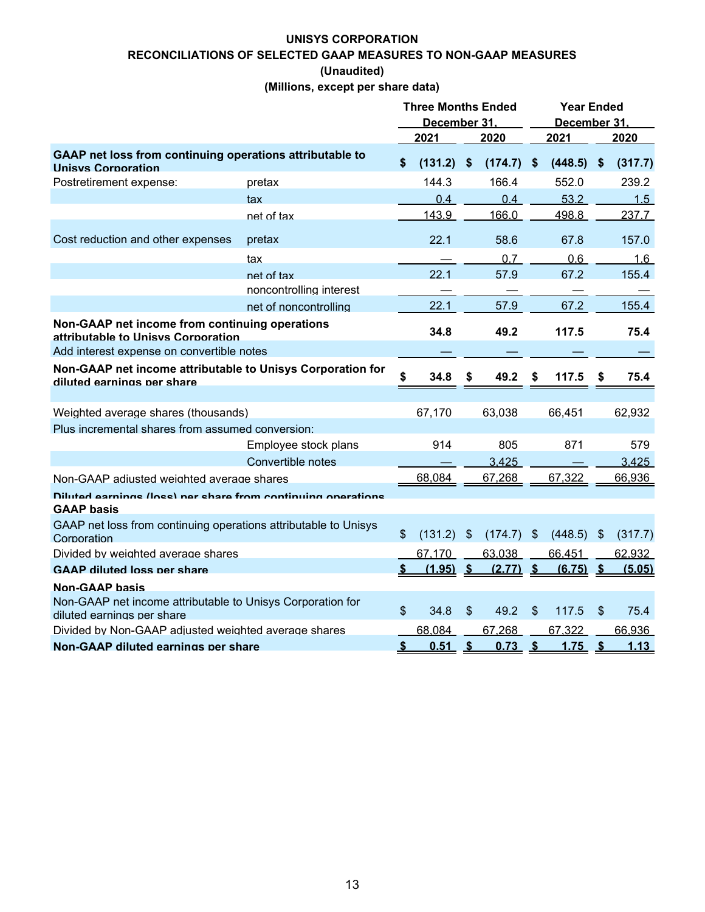### **UNISYS CORPORATION RECONCILIATIONS OF SELECTED GAAP MEASURES TO NON-GAAP MEASURES (Unaudited)**

**(Millions, except per share data)**

|                                                                                          |                         | <b>Three Months Ended</b> |             |                       |              |                          | <b>Year Ended</b> |                |             |
|------------------------------------------------------------------------------------------|-------------------------|---------------------------|-------------|-----------------------|--------------|--------------------------|-------------------|----------------|-------------|
|                                                                                          |                         | December 31               |             |                       | December 31. |                          |                   |                |             |
|                                                                                          |                         |                           | 2021        |                       | 2020         |                          | 2021              |                | 2020        |
| GAAP net loss from continuing operations attributable to<br>Unisys Corporation           |                         | \$                        | (131.2)     | <b>S</b>              | (174.7)      | \$                       | (448.5)           | -\$            | (317.7)     |
| Postretirement expense:                                                                  | pretax                  |                           | 144.3       |                       | 166.4        |                          | 552.0             |                | 239.2       |
|                                                                                          | tax                     |                           | 0.4         |                       | 0.4          |                          | 53.2              |                | 1.5         |
|                                                                                          | net of tax              |                           | 143.9       |                       | 166.0        |                          | 498.8             |                | 237.7       |
| Cost reduction and other expenses                                                        | pretax                  |                           | 22.1        |                       | 58.6         |                          | 67.8              |                | 157.0       |
|                                                                                          | tax                     |                           |             |                       | 0.7          |                          | 0.6               |                | 1.6         |
|                                                                                          | net of tax              |                           | 22.1        |                       | 57.9         |                          | 67.2              |                | 155.4       |
|                                                                                          | noncontrolling interest |                           |             |                       |              |                          |                   |                |             |
|                                                                                          | net of noncontrolling   |                           | 22.1        |                       | 57.9         |                          | 67.2              |                | 155.4       |
| Non-GAAP net income from continuing operations<br>attributable to Unisys Cornoration     |                         |                           | 34.8        |                       | 49.2         |                          | 117.5             |                | 75.4        |
| Add interest expense on convertible notes                                                |                         |                           |             |                       |              |                          |                   |                |             |
| Non-GAAP net income attributable to Unisys Corporation for<br>diluted earnings per share |                         | \$                        | 34.8        | S                     | 49.2         | S                        | 117.5             | \$             | 75.4        |
|                                                                                          |                         |                           |             |                       |              |                          |                   |                |             |
| Weighted average shares (thousands)                                                      |                         |                           | 67,170      |                       | 63,038       |                          | 66,451            |                | 62,932      |
| Plus incremental shares from assumed conversion:                                         |                         |                           |             |                       |              |                          |                   |                |             |
|                                                                                          | Employee stock plans    |                           | 914         |                       | 805          |                          | 871               |                | 579         |
|                                                                                          | Convertible notes       |                           |             |                       | 3,425        |                          |                   |                | 3,425       |
| Non-GAAP adiusted weighted average shares                                                |                         |                           | 68,084      |                       | 67,268       |                          | 67,322            |                | 66,936      |
| Dilutad agrninge (loee) nar ehara from continuing oparatione                             |                         |                           |             |                       |              |                          |                   |                |             |
| <b>GAAP basis</b>                                                                        |                         |                           |             |                       |              |                          |                   |                |             |
| GAAP net loss from continuing operations attributable to Unisys<br>Corporation           |                         | \$                        | (131.2)     | \$                    | (174.7)      | -\$                      | (448.5)           | \$             | (317.7)     |
| Divided by weighted average shares                                                       |                         |                           | 67,170      |                       | 63,038       |                          | 66,451            |                | 62,932      |
| <b>GAAP diluted loss per share</b>                                                       |                         | S.                        | $(1.95)$ \$ |                       | (2.77)       | $\mathbf{\hat{s}}$       | (6.75)            | <u>\$</u>      | (5.05)      |
| <b>Non-GAAP basis</b>                                                                    |                         |                           |             |                       |              |                          |                   |                |             |
| Non-GAAP net income attributable to Unisys Corporation for<br>diluted earnings per share |                         | $\mathfrak{L}$            | 34.8        | \$                    | 49.2         | \$                       | 117.5             | $\mathfrak{L}$ | 75.4        |
| Divided by Non-GAAP adjusted weighted average shares                                     |                         |                           | 68,084      |                       | 67,268       |                          | 67,322            |                | 66,936      |
| Non-GAAP diluted earnings per share                                                      |                         | $\mathbf{\mathfrak{L}}$   | 0.51        | $\mathbf{\mathsf{s}}$ | 0.73         | $\mathbf{\underline{s}}$ | 1.75              | $\mathbf{s}$   | <u>1.13</u> |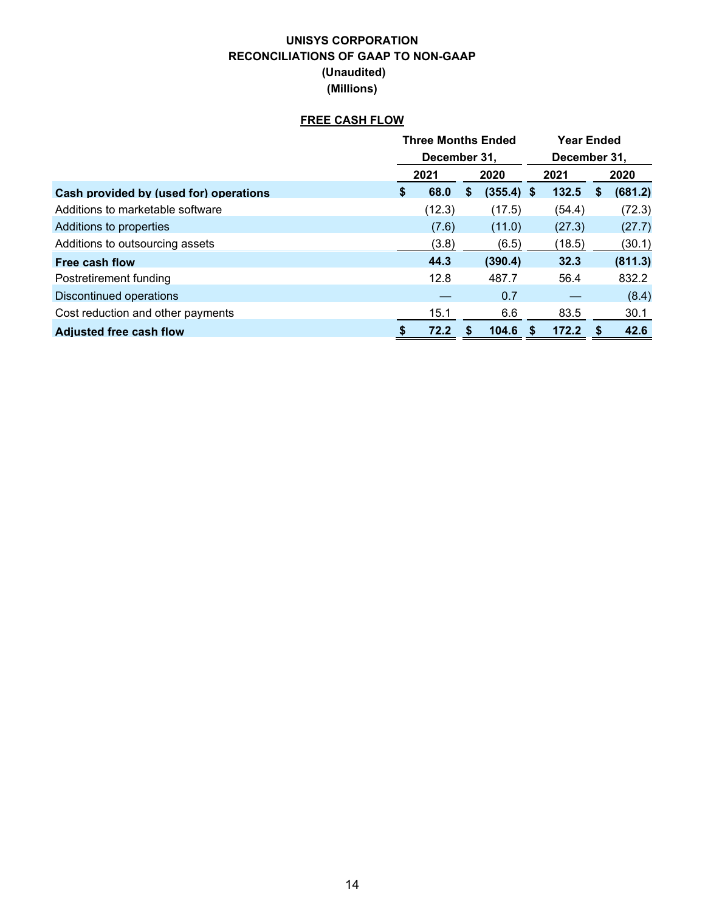### **UNISYS CORPORATION RECONCILIATIONS OF GAAP TO NON-GAAP (Unaudited) (Millions)**

### **FREE CASH FLOW**

|                                        |              | <b>Three Months Ended</b> |   |              |              | <b>Year Ended</b> |   |         |  |  |
|----------------------------------------|--------------|---------------------------|---|--------------|--------------|-------------------|---|---------|--|--|
|                                        | December 31, |                           |   |              | December 31, |                   |   |         |  |  |
|                                        | 2021         |                           |   | 2020         |              | 2021              |   | 2020    |  |  |
| Cash provided by (used for) operations | \$           | 68.0                      | S | $(355.4)$ \$ |              | 132.5             | S | (681.2) |  |  |
| Additions to marketable software       |              | (12.3)                    |   | (17.5)       |              | (54.4)            |   | (72.3)  |  |  |
| Additions to properties                |              | (7.6)                     |   | (11.0)       |              | (27.3)            |   | (27.7)  |  |  |
| Additions to outsourcing assets        |              | (3.8)                     |   | (6.5)        |              | (18.5)            |   | (30.1)  |  |  |
| Free cash flow                         |              | 44.3                      |   | (390.4)      |              | 32.3              |   | (811.3) |  |  |
| Postretirement funding                 |              | 12.8                      |   | 487.7        |              | 56.4              |   | 832.2   |  |  |
| Discontinued operations                |              |                           |   | 0.7          |              |                   |   | (8.4)   |  |  |
| Cost reduction and other payments      |              | 15.1                      |   | 6.6          |              | 83.5              |   | 30.1    |  |  |
| <b>Adjusted free cash flow</b>         |              | 72.2                      |   | 104.6        |              | 172.2             | S | 42.6    |  |  |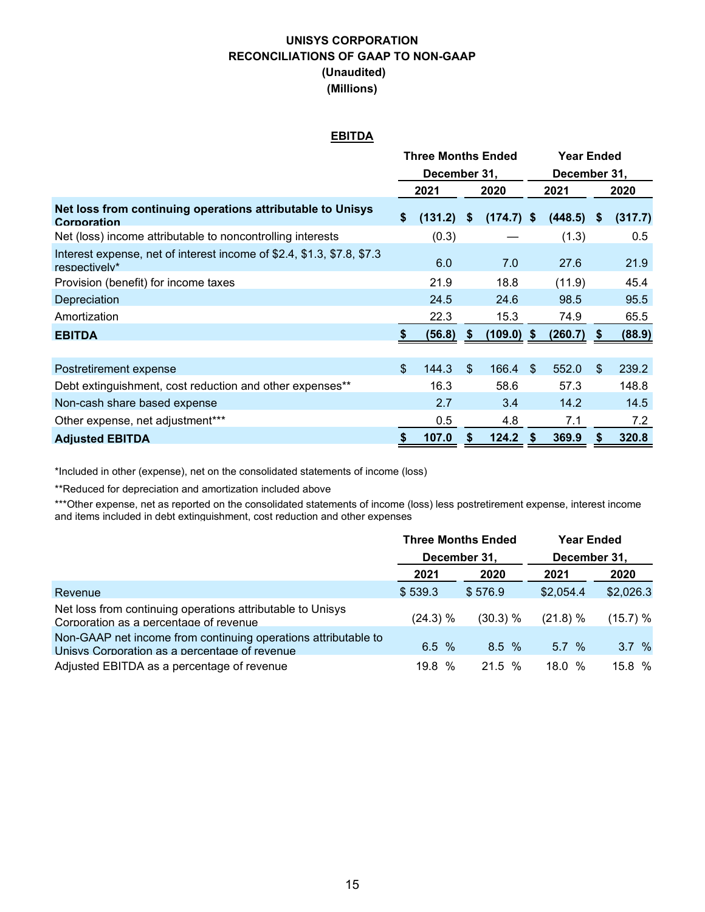### **UNISYS CORPORATION RECONCILIATIONS OF GAAP TO NON-GAAP (Unaudited) (Millions)**

#### **EBITDA**

|                                                                                         | Three Months Ended |         |                           |              |               | Year Ended   |                            |         |
|-----------------------------------------------------------------------------------------|--------------------|---------|---------------------------|--------------|---------------|--------------|----------------------------|---------|
|                                                                                         | December 31,       |         |                           |              | December 31,  |              |                            |         |
|                                                                                         |                    | 2021    |                           | 2020         | 2021          |              |                            | 2020    |
| Net loss from continuing operations attributable to Unisys<br>Corporation               | \$                 | (131.2) | $\boldsymbol{\mathsf{s}}$ | $(174.7)$ \$ |               | $(448.5)$ \$ |                            | (317.7) |
| Net (loss) income attributable to noncontrolling interests                              |                    | (0.3)   |                           |              |               | (1.3)        |                            | 0.5     |
| Interest expense, net of interest income of \$2.4, \$1.3, \$7.8, \$7.3<br>respectively* |                    | 6.0     |                           | 7.0          |               | 27.6         |                            | 21.9    |
| Provision (benefit) for income taxes                                                    |                    | 21.9    |                           | 18.8         |               | (11.9)       |                            | 45.4    |
| Depreciation                                                                            |                    | 24.5    |                           | 24.6         |               | 98.5         |                            | 95.5    |
| Amortization                                                                            |                    | 22.3    |                           | 15.3         |               | 74.9         |                            | 65.5    |
| <b>EBITDA</b>                                                                           |                    | (56.8)  | S                         | (109.0) \$   |               | (260.7)      | \$.                        | (88.9)  |
|                                                                                         |                    |         |                           |              |               |              |                            |         |
| Postretirement expense                                                                  | $\mathfrak{S}$     | 144.3   | $\mathfrak{L}$            | 166.4        | $\mathbf{\$}$ | 552.0        | $\boldsymbol{\mathsf{\$}}$ | 239.2   |
| Debt extinguishment, cost reduction and other expenses**                                |                    | 16.3    |                           | 58.6         |               | 57.3         |                            | 148.8   |
| Non-cash share based expense                                                            |                    | 2.7     |                           | 3.4          |               | 14.2         |                            | 14.5    |
| Other expense, net adjustment***                                                        |                    | 0.5     |                           | 4.8          |               | 7.1          |                            | 7.2     |
| <b>Adjusted EBITDA</b>                                                                  | \$                 | 107.0   |                           | 124.2        |               | 369.9        | \$                         | 320.8   |

\*Included in other (expense), net on the consolidated statements of income (loss)

\*\*Reduced for depreciation and amortization included above

\*\*\*Other expense, net as reported on the consolidated statements of income (loss) less postretirement expense, interest income and items included in debt extinguishment, cost reduction and other expenses

|                                                                                                                 | <b>Three Months Ended</b> |          | <b>Year Ended</b> |           |  |  |  |
|-----------------------------------------------------------------------------------------------------------------|---------------------------|----------|-------------------|-----------|--|--|--|
|                                                                                                                 | December 31,              |          | December 31.      |           |  |  |  |
|                                                                                                                 | 2021                      | 2020     | 2021              | 2020      |  |  |  |
| Revenue                                                                                                         | \$539.3                   | \$576.9  | \$2,054.4         | \$2,026.3 |  |  |  |
| Net loss from continuing operations attributable to Unisys<br>Corporation as a percentage of revenue            | (24.3) %                  | (30.3) % | $(21.8) \%$       | (15.7) %  |  |  |  |
| Non-GAAP net income from continuing operations attributable to<br>Unisys Corporation as a percentage of revenue | 6.5 $%$                   | 8.5%     | 5.7%              | 3.7%      |  |  |  |
| Adjusted EBITDA as a percentage of revenue                                                                      | 19.8 %                    | 21.5 %   | 18.0%             | 15.8%     |  |  |  |